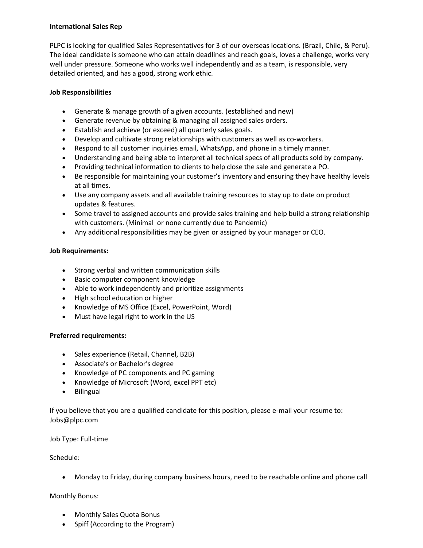# **International Sales Rep**

PLPC is looking for qualified Sales Representatives for 3 of our overseas locations. (Brazil, Chile, & Peru). The ideal candidate is someone who can attain deadlines and reach goals, loves a challenge, works very well under pressure. Someone who works well independently and as a team, is responsible, very detailed oriented, and has a good, strong work ethic.

# **Job Responsibilities**

- Generate & manage growth of a given accounts. (established and new)
- Generate revenue by obtaining & managing all assigned sales orders.
- Establish and achieve (or exceed) all quarterly sales goals.
- Develop and cultivate strong relationships with customers as well as co-workers.
- Respond to all customer inquiries email, WhatsApp, and phone in a timely manner.
- Understanding and being able to interpret all technical specs of all products sold by company.
- Providing technical information to clients to help close the sale and generate a PO.
- Be responsible for maintaining your customer's inventory and ensuring they have healthy levels at all times.
- Use any company assets and all available training resources to stay up to date on product updates & features.
- Some travel to assigned accounts and provide sales training and help build a strong relationship with customers. (Minimal or none currently due to Pandemic)
- Any additional responsibilities may be given or assigned by your manager or CEO.

# **Job Requirements:**

- Strong verbal and written communication skills
- Basic computer component knowledge
- Able to work independently and prioritize assignments
- High school education or higher
- Knowledge of MS Office (Excel, PowerPoint, Word)
- Must have legal right to work in the US

# **Preferred requirements:**

- Sales experience (Retail, Channel, B2B)
- Associate's or Bachelor's degree
- Knowledge of PC components and PC gaming
- Knowledge of Microsoft (Word, excel PPT etc)
- **•** Bilingual

If you believe that you are a qualified candidate for this position, please e-mail your resume to: Jobs@plpc.com

Job Type: Full-time

### Schedule:

Monday to Friday, during company business hours, need to be reachable online and phone call

### Monthly Bonus:

- Monthly Sales Quota Bonus
- Spiff (According to the Program)